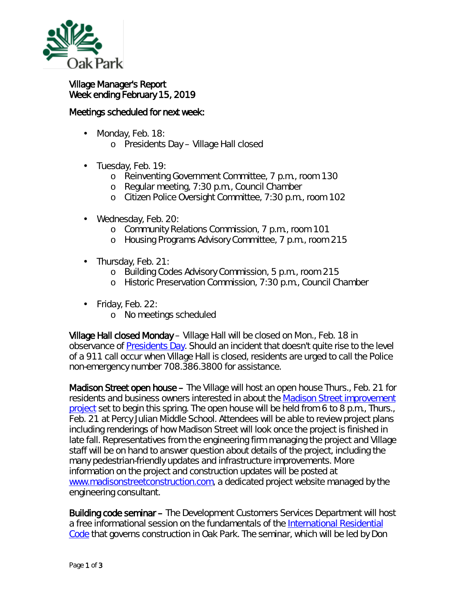

## Village Manager's Report Week ending February 15, 2019

## Meetings scheduled for next week:

- Monday, Feb. 18: ä,
	- o Presidents Day Village Hall closed
- ä, Tuesday, Feb. 19:
	- o Reinventing Government Committee, 7 p.m., room 130
	- o Regular meeting, 7:30 p.m., Council Chamber
	- o Citizen Police Oversight Committee, 7:30 p.m., room 102
- Wednesday, Feb. 20:
	- o Community Relations Commission, 7 p.m., room 101
	- o Housing Programs Advisory Committee, 7 p.m., room 215
- Thursday, Feb. 21:
	- o Building Codes Advisory Commission, 5 p.m., room 215
	- o Historic Preservation Commission, 7:30 p.m., Council Chamber
- $\cdot$  Friday, Feb. 22:
	- o No meetings scheduled

Village Hall closed Monday – Village Hall will be closed on Mon., Feb. 18 in observance of [Presidents Day.](http://www.history.com/topics/holidays/presidents-day) Should an incident that doesn't quite rise to the level of a 911 call occur when Village Hall is closed, residents are urged to call the Police non-emergency number 708.386.3800 for assistance.

Madison Street open house – The Village will host an open house Thurs., Feb. 21 for residents and business owners interested in about the [Madison Street improvement](https://www.oak-park.us/news/open-house-set-madison-street-improvements-project)  [project](https://www.oak-park.us/news/open-house-set-madison-street-improvements-project) set to begin this spring. The open house will be held from 6 to 8 p.m., Thurs., Feb. 21 at Percy Julian Middle School. Attendees will be able to review project plans including renderings of how Madison Street will look once the project is finished in late fall. Representatives from the engineering firm managing the project and Village staff will be on hand to answer question about details of the project, including the many pedestrian-friendly updates and infrastructure improvements. More information on the project and construction updates will be posted at [www.madisonstreetconstruction.com,](http://www.madisonstreetconstruction.com/) a dedicated project website managed by the engineering consultant.

Building code seminar – The Development Customers Services Department will host a free informational session on the fundamentals of the [International Residential](https://www.iccsafe.org/codes-tech-support/codes/2018-i-codes/irc/)  [Code](https://www.iccsafe.org/codes-tech-support/codes/2018-i-codes/irc/) that governs construction in Oak Park. The seminar, which will be led by Don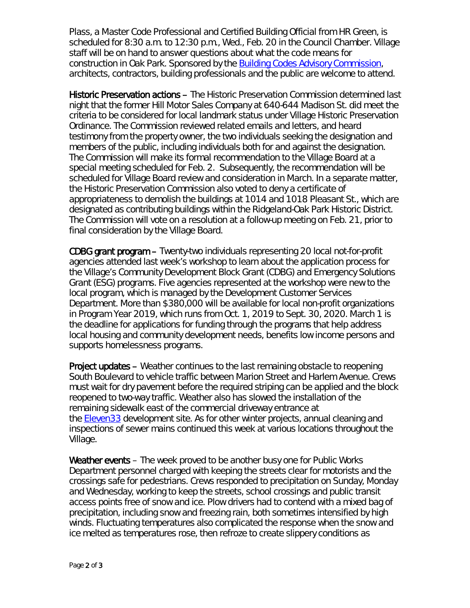Plass, a Master Code Professional and Certified Building Official from HR Green, is scheduled for 8:30 a.m. to 12:30 p.m., Wed., Feb. 20 in the Council Chamber. Village staff will be on hand to answer questions about what the code means for construction in Oak Park. Sponsored by the **Building Codes Advisory Commission**, architects, contractors, building professionals and the public are welcome to attend.

Historic Preservation actions – The Historic Preservation Commission determined last night that the former Hill Motor Sales Company at 640-644 Madison St. did meet the criteria to be considered for local landmark status under Village Historic Preservation Ordinance. The Commission reviewed related emails and letters, and heard testimony from the property owner, the two individuals seeking the designation and members of the public, including individuals both for and against the designation. The Commission will make its formal recommendation to the Village Board at a special meeting scheduled for Feb. 2. Subsequently, the recommendation will be scheduled for Village Board review and consideration in March. In a separate matter, the Historic Preservation Commission also voted to deny a certificate of appropriateness to demolish the buildings at 1014 and 1018 Pleasant St., which are designated as contributing buildings within the Ridgeland-Oak Park Historic District. The Commission will vote on a resolution at a follow-up meeting on Feb. 21, prior to final consideration by the Village Board.

CDBG grant program – Twenty-two individuals representing 20 local not-for-profit agencies attended last week's workshop to learn about the application process for the Village's Community Development Block Grant (CDBG) and Emergency Solutions Grant (ESG) programs. Five agencies represented at the workshop were new to the local program, which is managed by the Development Customer Services Department. More than \$380,000 will be available for local non-profit organizations in Program Year 2019, which runs from Oct. 1, 2019 to Sept. 30, 2020. March 1 is the deadline for applications for funding through the programs that help address local housing and community development needs, benefits low income persons and supports homelessness programs.

Project updates – Weather continues to the last remaining obstacle to reopening South Boulevard to vehicle traffic between Marion Street and Harlem Avenue. Crews must wait for dry pavement before the required striping can be applied and the block reopened to two-way traffic. Weather also has slowed the installation of the remaining sidewalk east of the commercial driveway entrance at the [Eleven33](https://oakparkeconomicdevelopmentcorporation.org/portfolio/lincoln-property-co-development/) development site. As for other winter projects, annual cleaning and inspections of sewer mains continued this week at various locations throughout the Village.

Weather events – The week proved to be another busy one for Public Works Department personnel charged with keeping the streets clear for motorists and the crossings safe for pedestrians. Crews responded to precipitation on Sunday, Monday and Wednesday, working to keep the streets, school crossings and public transit access points free of snow and ice. Plow drivers had to contend with a mixed bag of precipitation, including snow and freezing rain, both sometimes intensified by high winds. Fluctuating temperatures also complicated the response when the snow and ice melted as temperatures rose, then refroze to create slippery conditions as